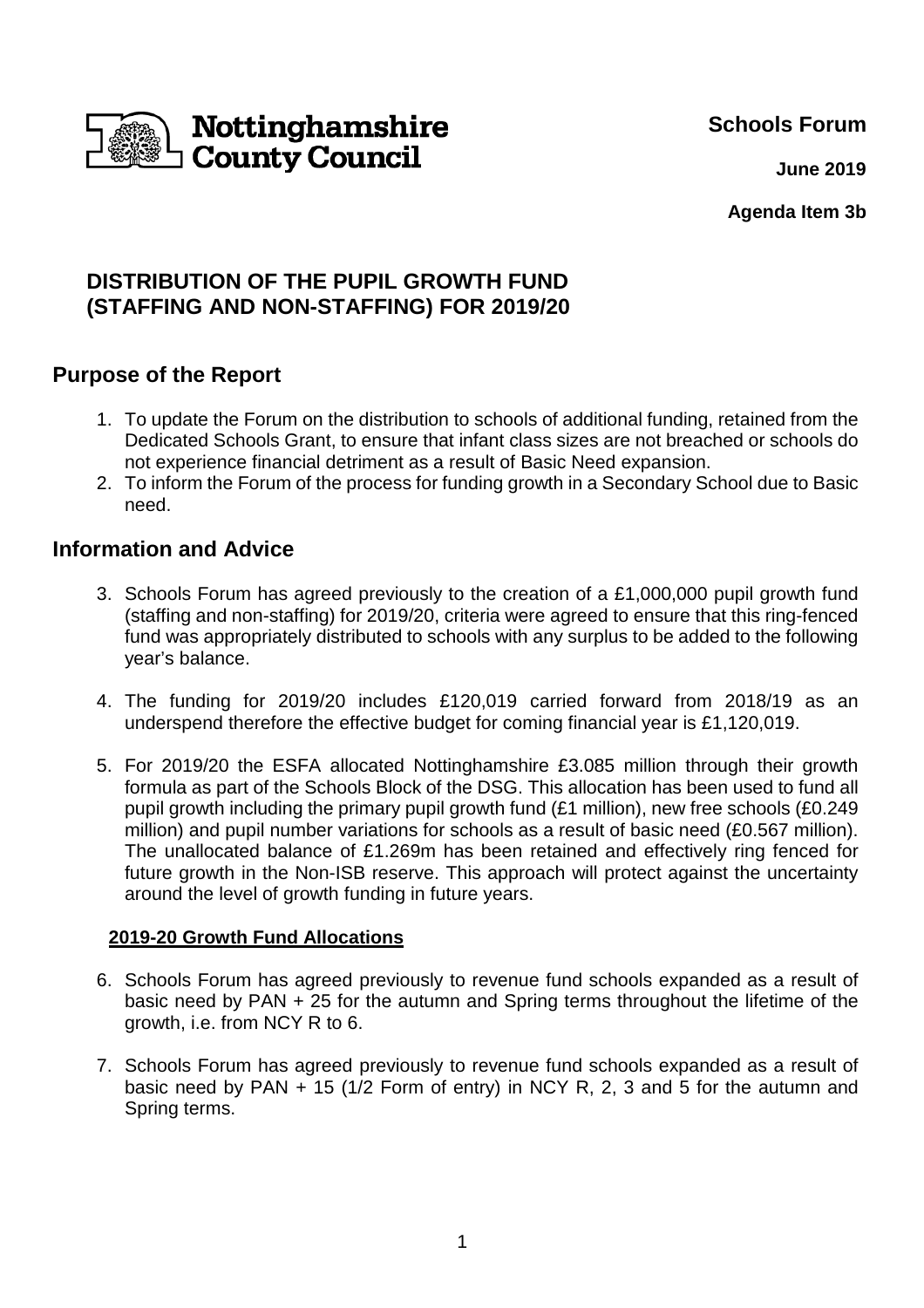**Schools Forum**



 **June 2019**

**Agenda Item 3b**

# **DISTRIBUTION OF THE PUPIL GROWTH FUND (STAFFING AND NON-STAFFING) FOR 2019/20**

## **Purpose of the Report**

- 1. To update the Forum on the distribution to schools of additional funding, retained from the Dedicated Schools Grant, to ensure that infant class sizes are not breached or schools do not experience financial detriment as a result of Basic Need expansion.
- 2. To inform the Forum of the process for funding growth in a Secondary School due to Basic need.

### **Information and Advice**

- 3. Schools Forum has agreed previously to the creation of a £1,000,000 pupil growth fund (staffing and non-staffing) for 2019/20, criteria were agreed to ensure that this ring-fenced fund was appropriately distributed to schools with any surplus to be added to the following year's balance.
- 4. The funding for 2019/20 includes £120,019 carried forward from 2018/19 as an underspend therefore the effective budget for coming financial year is £1,120,019.
- 5. For 2019/20 the ESFA allocated Nottinghamshire £3.085 million through their growth formula as part of the Schools Block of the DSG. This allocation has been used to fund all pupil growth including the primary pupil growth fund (£1 million), new free schools (£0.249 million) and pupil number variations for schools as a result of basic need (£0.567 million). The unallocated balance of £1.269m has been retained and effectively ring fenced for future growth in the Non-ISB reserve. This approach will protect against the uncertainty around the level of growth funding in future years.

### **2019-20 Growth Fund Allocations**

- 6. Schools Forum has agreed previously to revenue fund schools expanded as a result of basic need by PAN + 25 for the autumn and Spring terms throughout the lifetime of the growth, i.e. from NCY R to 6.
- 7. Schools Forum has agreed previously to revenue fund schools expanded as a result of basic need by PAN + 15 (1/2 Form of entry) in NCY R, 2, 3 and 5 for the autumn and Spring terms.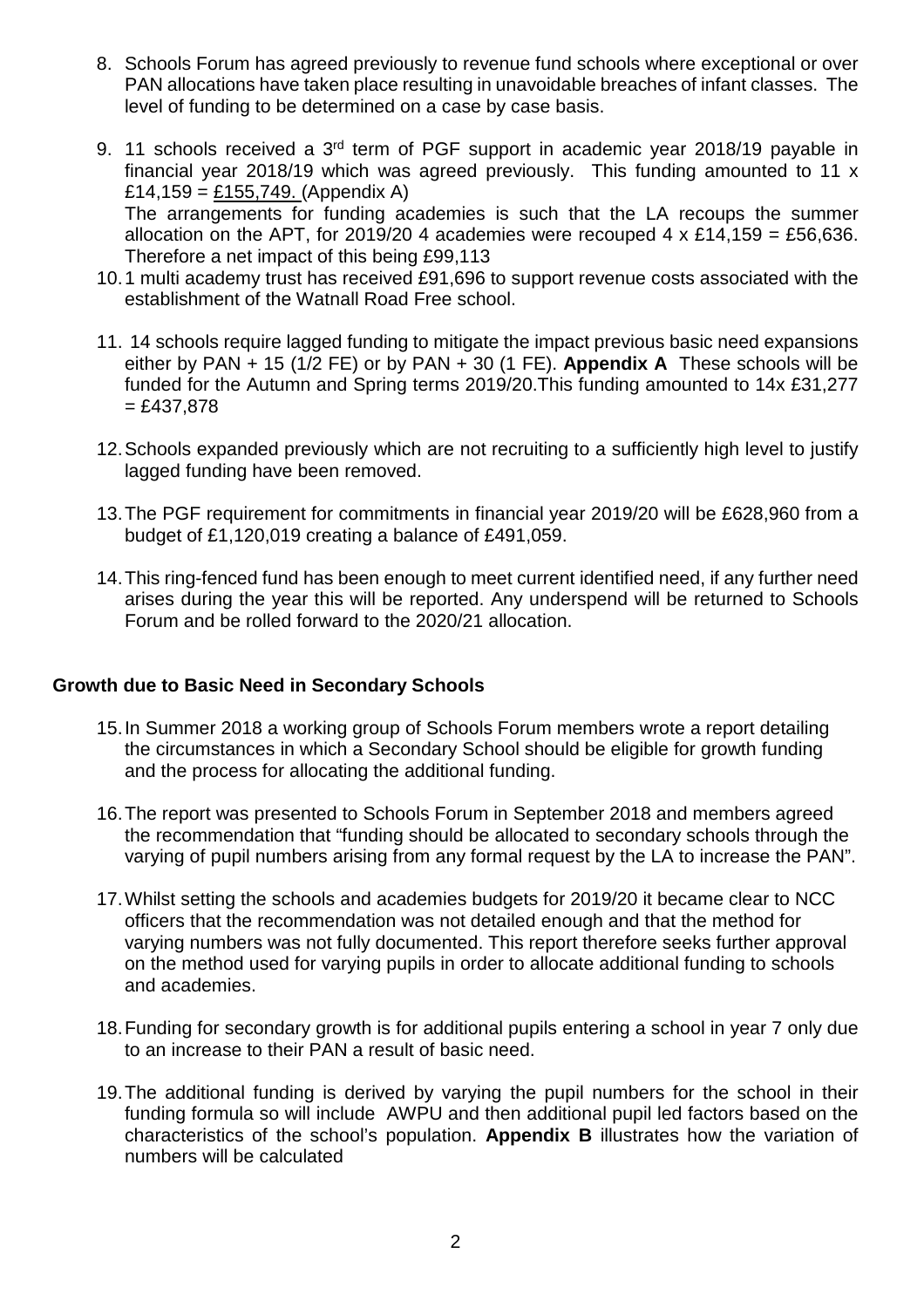- 8. Schools Forum has agreed previously to revenue fund schools where exceptional or over PAN allocations have taken place resulting in unavoidable breaches of infant classes. The level of funding to be determined on a case by case basis.
- 9. 11 schools received a 3rd term of PGF support in academic year 2018/19 payable in financial year 2018/19 which was agreed previously. This funding amounted to 11 x £14,159 =  $£155,749.$  (Appendix A) The arrangements for funding academies is such that the LA recoups the summer allocation on the APT, for 2019/20 4 academies were recouped 4 x £14,159 = £56,636. Therefore a net impact of this being £99,113
- 10. 1 multi academy trust has received £91,696 to support revenue costs associated with the establishment of the Watnall Road Free school.
- 11. 14 schools require lagged funding to mitigate the impact previous basic need expansions either by PAN + 15 (1/2 FE) or by PAN + 30 (1 FE). **Appendix A** These schools will be funded for the Autumn and Spring terms 2019/20.This funding amounted to 14x £31,277  $= £437,878$
- 12. Schools expanded previously which are not recruiting to a sufficiently high level to justify lagged funding have been removed.
- 13. The PGF requirement for commitments in financial year 2019/20 will be £628,960 from a budget of £1,120,019 creating a balance of £491,059.
- 14. This ring-fenced fund has been enough to meet current identified need, if any further need arises during the year this will be reported. Any underspend will be returned to Schools Forum and be rolled forward to the 2020/21 allocation.

#### **Growth due to Basic Need in Secondary Schools**

- 15. In Summer 2018 a working group of Schools Forum members wrote a report detailing the circumstances in which a Secondary School should be eligible for growth funding and the process for allocating the additional funding.
- 16. The report was presented to Schools Forum in September 2018 and members agreed the recommendation that "funding should be allocated to secondary schools through the varying of pupil numbers arising from any formal request by the LA to increase the PAN".
- 17. Whilst setting the schools and academies budgets for 2019/20 it became clear to NCC officers that the recommendation was not detailed enough and that the method for varying numbers was not fully documented. This report therefore seeks further approval on the method used for varying pupils in order to allocate additional funding to schools and academies.
- 18. Funding for secondary growth is for additional pupils entering a school in year 7 only due to an increase to their PAN a result of basic need.
- 19. The additional funding is derived by varying the pupil numbers for the school in their funding formula so will include AWPU and then additional pupil led factors based on the characteristics of the school's population. **Appendix B** illustrates how the variation of numbers will be calculated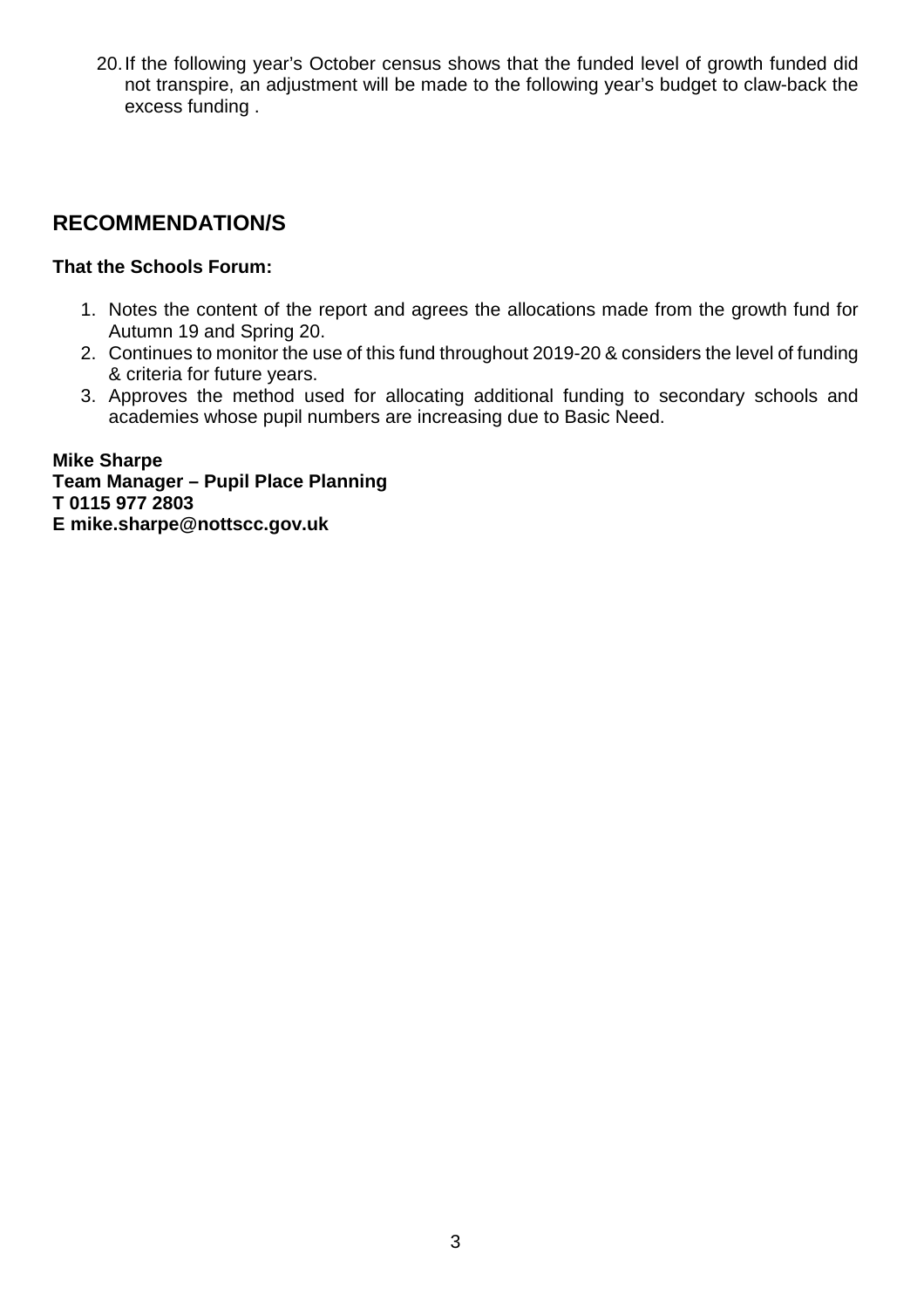20. If the following year's October census shows that the funded level of growth funded did not transpire, an adjustment will be made to the following year's budget to claw-back the excess funding .

## **RECOMMENDATION/S**

### **That the Schools Forum:**

- 1. Notes the content of the report and agrees the allocations made from the growth fund for Autumn 19 and Spring 20.
- 2. Continues to monitor the use of this fund throughout 2019-20 & considers the level of funding & criteria for future years.
- 3. Approves the method used for allocating additional funding to secondary schools and academies whose pupil numbers are increasing due to Basic Need.

**Mike Sharpe Team Manager – Pupil Place Planning T 0115 977 2803 E mike.sharpe@nottscc.gov.uk**